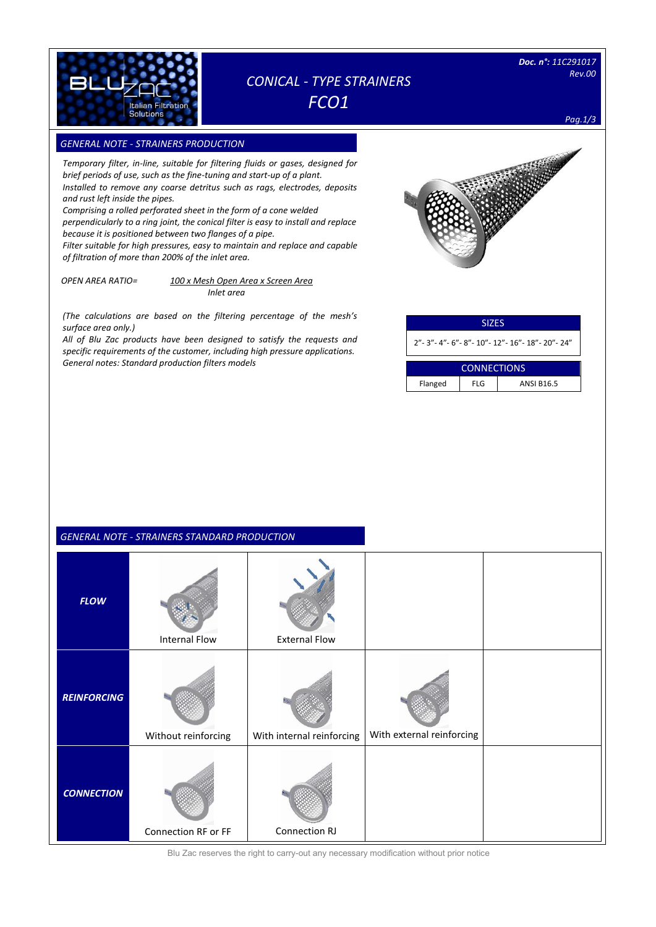

# *CONICAL - TYPE STRAINERS FCO1*

*Pag.1/3*

### **GENERAL NOTE - STRAINERS PRODUCTION**

*Temporary filter, in-line, suitable for filtering fluids or gases, designed for brief periods of use, such as the fine-tuning and start-up of a plant. Installed to remove any coarse detritus such as rags, electrodes, deposits and rust left inside the pipes.*

*Comprising a rolled perforated sheet in the form of a cone welded perpendicularly to a ring joint, the conical filter is easy to install and replace because it is positioned between two flanges of a pipe.*

*Filter suitable for high pressures, easy to maintain and replace and capable of filtration of more than 200% of the inlet area.*

 *OPEN AREA RATIO= 100 x Mesh Open Area x Screen Area Inlet area*

*(The calculations are based on the filtering percentage of the mesh's surface area only.)*

*All of Blu Zac products have been designed to satisfy the requests and specific requirements of the customer, including high pressure applications.*  **General notes: Standard production filters models** 

| <b>SIZES</b>                                               |            |                   |  |  |  |  |
|------------------------------------------------------------|------------|-------------------|--|--|--|--|
| 2" - 3" - 4" - 6" - 8" - 10" - 12" - 16" - 18" - 20" - 24" |            |                   |  |  |  |  |
|                                                            |            |                   |  |  |  |  |
| <b>CONNECTIONS</b>                                         |            |                   |  |  |  |  |
| Flanged                                                    | <b>FLG</b> | <b>ANSI B16.5</b> |  |  |  |  |

| GENERAL NOTE - STRAINERS STANDARD PRODUCTION |  |  |
|----------------------------------------------|--|--|

|                    | 3110 1112113 317 111 <i>01</i> 1110 1110 Deciment |                           |                           |  |
|--------------------|---------------------------------------------------|---------------------------|---------------------------|--|
| <b>FLOW</b>        | <b>Internal Flow</b>                              | <b>External Flow</b>      |                           |  |
| <b>REINFORCING</b> | Without reinforcing                               | With internal reinforcing | With external reinforcing |  |
| <b>CONNECTION</b>  | Connection RF or FF                               | Connection RJ             |                           |  |

Blu Zac reserves the right to carry-out any necessary modification without prior notice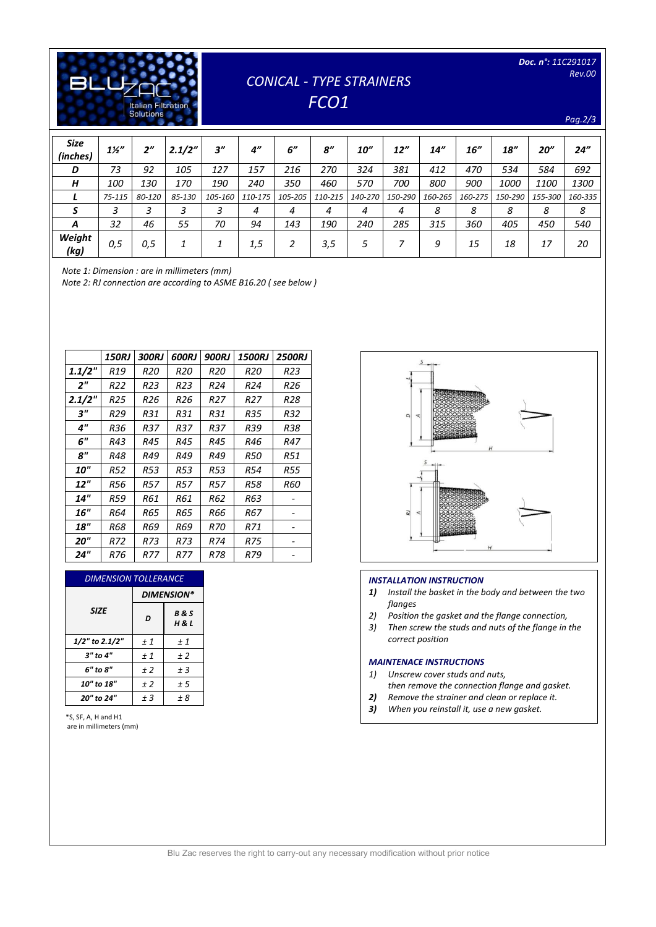| <b>Italian Filtration</b><br><b>Solutions</b> |
|-----------------------------------------------|

## *CONICAL - TYPE STRAINERS FCO1*

*Pag.2/3*

| <b>Size</b><br>(inches) | $1\frac{1}{2}$ | 2"         | 2.1/2" | 3''     | $4^{\prime\prime}$ | 6"      | 8''     | 10''    | 12''    | 14"     | 16"     | 18''        | 20''    | 24''    |
|-------------------------|----------------|------------|--------|---------|--------------------|---------|---------|---------|---------|---------|---------|-------------|---------|---------|
| D                       | 73             | 92         | 105    | 127     | 157                | 216     | 270     | 324     | 381     | 412     | 470     | 534         | 584     | 692     |
| Н                       | 100            | <i>130</i> | 170    | 190     | 240                | 350     | 460     | 570     | 700     | 800     | 900     | <i>1000</i> | 1100    | 1300    |
|                         | 75-115         | 80-120     | 85-130 | 105-160 | 110-175            | 105-205 | 110-215 | 140-270 | 150-290 | 160-265 | 160-275 | 150-290     | 155-300 | 160-335 |
|                         | 3              | ∍          |        |         | 4                  | 4       | 4       | 4       | 4       | 8       | 8       | 8           | 8       | 8       |
| A                       | 32             | 46         | 55     | 70      | 94                 | 143     | 190     | 240     | 285     | 315     | 360     | 405         | 450     | 540     |
| Weight<br>(kg)          | 0,5            | 0,5        |        |         | 1,5                |         | 3,5     | 5       |         | 9       | 15      | 18          | 17      | 20      |

*Note 1: Dimension : are in millimeters (mm)*

*Note 2: RJ connection are according to ASME B16.20 ( see below )*

|                    | <b>150RJ</b> | <b>300RJ</b> | <b>600RJ</b> | <b>900RJ</b> | <b>1500RJ</b> | <b>2500RJ</b> |
|--------------------|--------------|--------------|--------------|--------------|---------------|---------------|
| 1.1/2"             | R19          | R20          | R20          | <b>R20</b>   | R20           | R23           |
| 2 <sup>''</sup>    | R22          | R23          | R23          | R24          | R24           | R26           |
| 2.1/2"             | R25          | R26          | R26          | R27          | R27           | R28           |
| $3^{\prime\prime}$ | R29          | R31          | R31          | R31          | R35           | R32           |
| 4"                 | R36          | R37          | R37          | R37          | R39           | R38           |
| 6"                 | R43          | R45          | R45          | R45          | R46           | R47           |
| 8"                 | R48          | R49          | R49          | R49          | R50           | R51           |
| 10"                | R52          | R53          | R53          | R53          | R54           | R55           |
| 12"                | R56          | R57          | R57          | R57          | R58           | R60           |
| <b>14"</b>         | R59          | R61          | R61          | R62          | R63           |               |
| 16"                | R64          | R65          | R65          | R66          | R67           |               |
| <b>18"</b>         | R68          | R69          | R69          | R70          | R71           |               |
| 20"                | R72          | R73          | R73          | R74          | R75           |               |
| 24"                | R76          | R77          | R77          | R78          | R79           |               |

| <b>DIMENSION TOLLERANCE</b> |                   |                         |  |  |  |  |
|-----------------------------|-------------------|-------------------------|--|--|--|--|
|                             | <b>DIMENSION*</b> |                         |  |  |  |  |
| <b>SIZE</b>                 | D                 | <b>B&amp;S</b><br>H & L |  |  |  |  |
| 1/2" to 2.1/2"              | ±1                | ±1                      |  |  |  |  |
| $3"$ to $4"$                | ±1                | ±2                      |  |  |  |  |
| 6" to 8"                    | ±2                | $±$ 3                   |  |  |  |  |
| 10" to 18"                  | ±2                | ± 5                     |  |  |  |  |
| 20" to 24"                  | $±$ 3             | ± 8                     |  |  |  |  |

\*S, SF, A, H and H1 are in millimeters (mm)



#### *INSTALLATION INSTRUCTION*

- *1) Install the basket in the body and between the two flanges*
- *2) Position the gasket and the flange connection,*
- *3) Then screw the studs and nuts of the flange in the correct position*

### *MAINTENACE INSTRUCTIONS*

- *1) Unscrew cover studs and nuts,*
- *then remove the connection flange and gasket.*
- *2) Remove the strainer and clean or replace it.*
- *3) When you reinstall it, use a new gasket.*